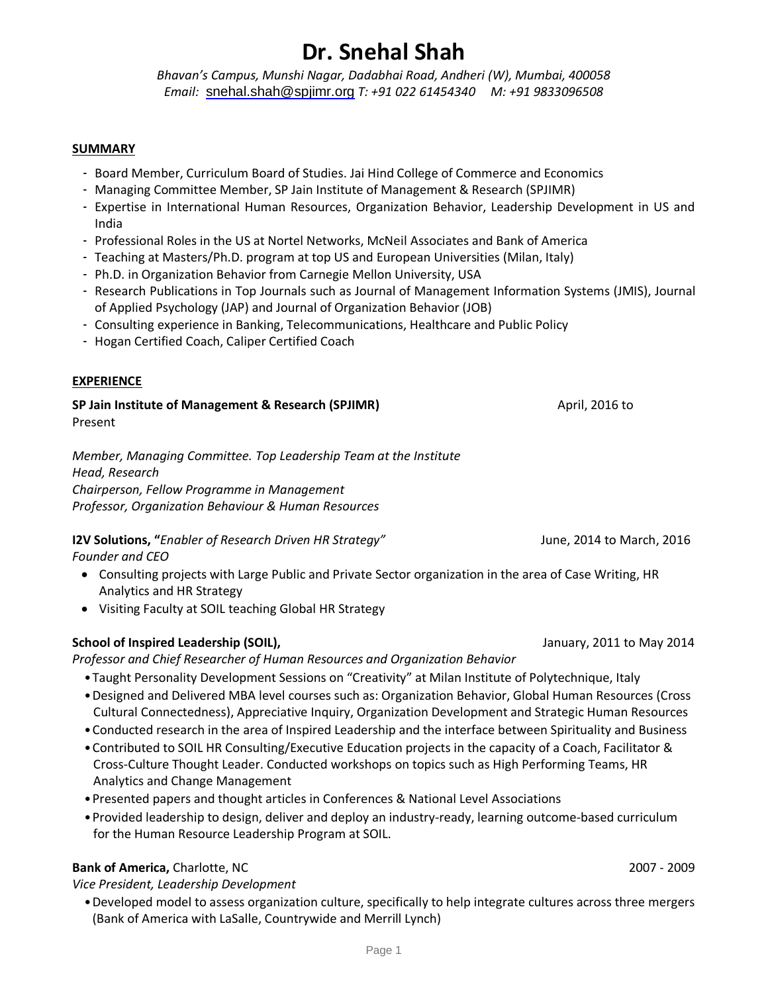*Bhavan's Campus, Munshi Nagar, Dadabhai Road, Andheri (W), Mumbai, 400058 Email:* [snehal.shah@spjimr.org](mailto:snehal.shah@spjimr.org) *T: +91 022 61454340 M: +91 9833096508*

### **SUMMARY**

- Board Member, Curriculum Board of Studies. Jai Hind College of Commerce and Economics
- Managing Committee Member, SP Jain Institute of Management & Research (SPJIMR)
- Expertise in International Human Resources, Organization Behavior, Leadership Development in US and India
- Professional Roles in the US at Nortel Networks, McNeil Associates and Bank of America
- Teaching at Masters/Ph.D. program at top US and European Universities (Milan, Italy)
- Ph.D. in Organization Behavior from Carnegie Mellon University, USA
- Research Publications in Top Journals such as Journal of Management Information Systems (JMIS), Journal of Applied Psychology (JAP) and Journal of Organization Behavior (JOB)
- Consulting experience in Banking, Telecommunications, Healthcare and Public Policy
- Hogan Certified Coach, Caliper Certified Coach

### **EXPERIENCE**

**SP Jain Institute of Management & Research (SPJIMR)**April, 2016 to Present

*Member, Managing Committee. Top Leadership Team at the Institute Head, Research Chairperson, Fellow Programme in Management Professor, Organization Behaviour & Human Resources*

**I2V Solutions, "***Enabler of Research Driven HR Strategy"* June, 2014 to March, 2016 *Founder and CEO* 

- Consulting projects with Large Public and Private Sector organization in the area of Case Writing, HR Analytics and HR Strategy
- Visiting Faculty at SOIL teaching Global HR Strategy

### **School of Inspired Leadership (SOIL),** January, 2011 to May 2014

*Professor and Chief Researcher of Human Resources and Organization Behavior*

- •Taught Personality Development Sessions on "Creativity" at Milan Institute of Polytechnique, Italy
- •Designed and Delivered MBA level courses such as: Organization Behavior, Global Human Resources (Cross Cultural Connectedness), Appreciative Inquiry, Organization Development and Strategic Human Resources
- •Conducted research in the area of Inspired Leadership and the interface between Spirituality and Business
- •Contributed to SOIL HR Consulting/Executive Education projects in the capacity of a Coach, Facilitator & Cross-Culture Thought Leader. Conducted workshops on topics such as High Performing Teams, HR Analytics and Change Management
- •Presented papers and thought articles in Conferences & National Level Associations
- •Provided leadership to design, deliver and deploy an industry-ready, learning outcome-based curriculum for the Human Resource Leadership Program at SOIL.

### **Bank of America,** Charlotte, NC2007 - 2009

*Vice President, Leadership Development*

•Developed model to assess organization culture, specifically to help integrate cultures across three mergers (Bank of America with LaSalle, Countrywide and Merrill Lynch)

Page 1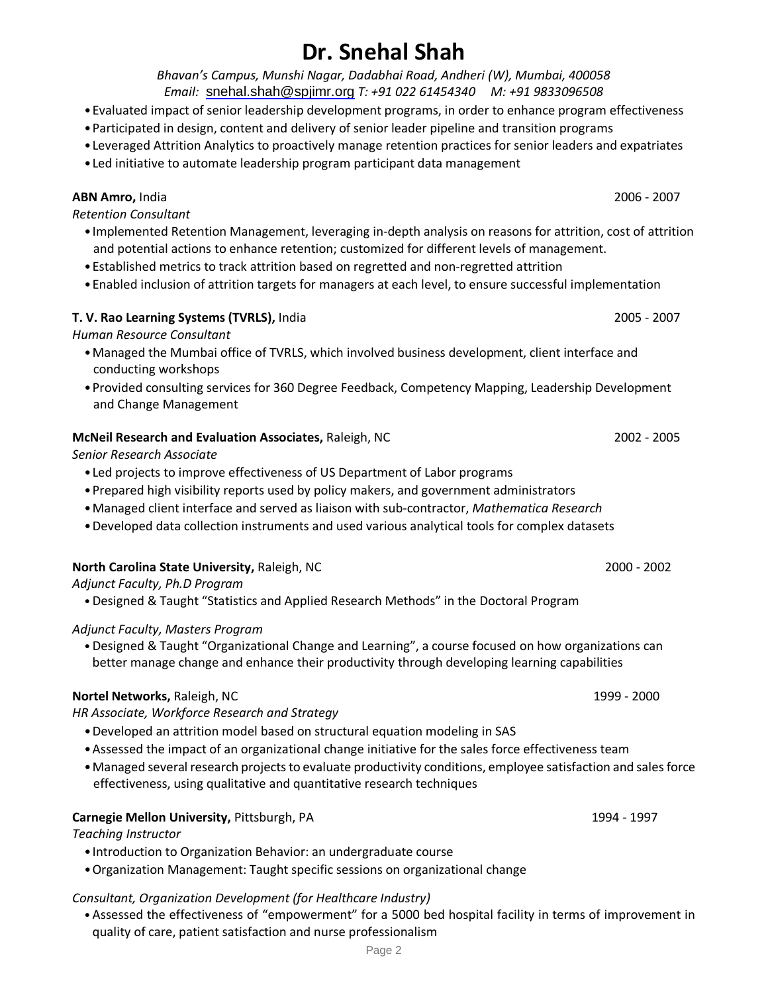*Bhavan's Campus, Munshi Nagar, Dadabhai Road, Andheri (W), Mumbai, 400058 Email:* [snehal.shah@spjimr.org](mailto:snehal.shah@spjimr.org) *T: +91 022 61454340 M: +91 9833096508*

- •Evaluated impact of senior leadership development programs, in order to enhance program effectiveness
- •Participated in design, content and delivery of senior leader pipeline and transition programs
- •Leveraged Attrition Analytics to proactively manage retention practices for senior leaders and expatriates
- •Led initiative to automate leadership program participant data management

## **ABN Amro,** India2006 - 2007

*Retention Consultant*

- •Implemented Retention Management, leveraging in-depth analysis on reasons for attrition, cost of attrition and potential actions to enhance retention; customized for different levels of management.
- •Established metrics to track attrition based on regretted and non-regretted attrition
- •Enabled inclusion of attrition targets for managers at each level, to ensure successful implementation

## **T. V. Rao Learning Systems (TVRLS),** India 2005 - 2007

*Human Resource Consultant*

- •Managed the Mumbai office of TVRLS, which involved business development, client interface and conducting workshops
- •Provided consulting services for 360 Degree Feedback, Competency Mapping, Leadership Development and Change Management

## **McNeil Research and Evaluation Associates,** Raleigh, NC 2002 - 2005

*Senior Research Associate*

- •Led projects to improve effectiveness of US Department of Labor programs
- •Prepared high visibility reports used by policy makers, and government administrators
- •Managed client interface and served as liaison with sub-contractor, *Mathematica Research*
- •Developed data collection instruments and used various analytical tools for complex datasets

## **North Carolina State University,** Raleigh, NC 2000 - 2002

*Adjunct Faculty, Ph.D Program* 

•Designed & Taught "Statistics and Applied Research Methods" in the Doctoral Program

## *Adjunct Faculty, Masters Program*

•Designed & Taught "Organizational Change and Learning", a course focused on how organizations can better manage change and enhance their productivity through developing learning capabilities

## **Nortel Networks,** Raleigh, NC1999 - 2000

*HR Associate, Workforce Research and Strategy*

- •Developed an attrition model based on structural equation modeling in SAS
- •Assessed the impact of an organizational change initiative for the sales force effectiveness team
- Managed several research projects to evaluate productivity conditions, employee satisfaction and sales force effectiveness, using qualitative and quantitative research techniques

## **Carnegie Mellon University,** Pittsburgh, PA1994 - 1997

*Teaching Instructor*

- •Introduction to Organization Behavior: an undergraduate course
- •Organization Management: Taught specific sessions on organizational change

## *Consultant, Organization Development (for Healthcare Industry)*

•Assessed the effectiveness of "empowerment" for a 5000 bed hospital facility in terms of improvement in quality of care, patient satisfaction and nurse professionalism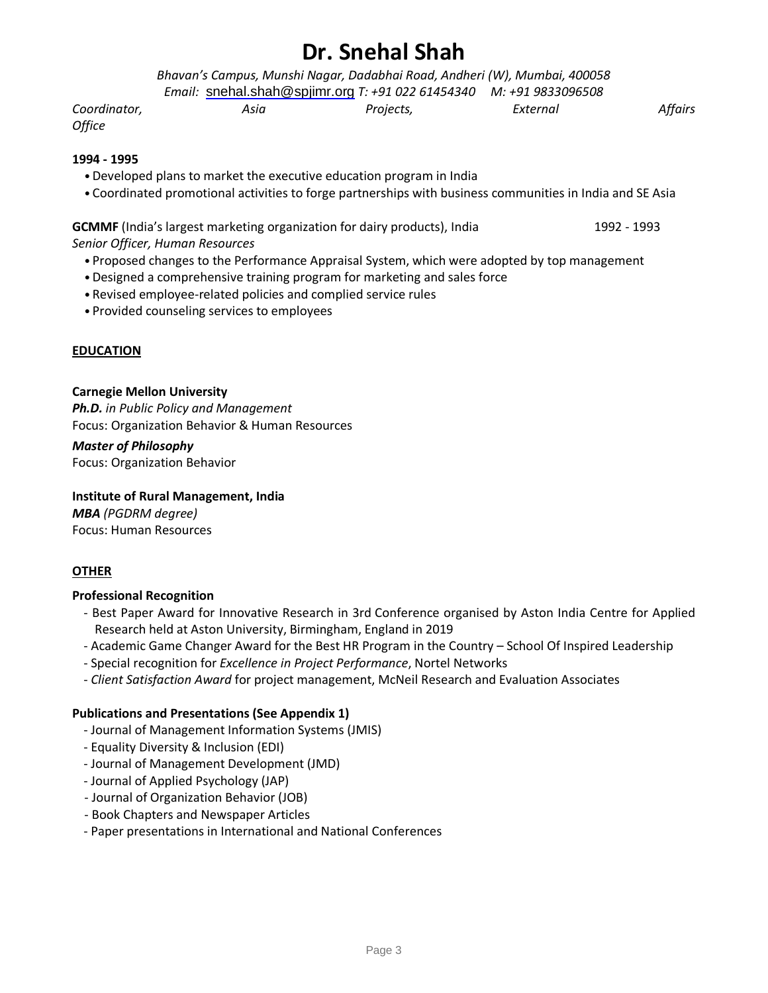*Bhavan's Campus, Munshi Nagar, Dadabhai Road, Andheri (W), Mumbai, 400058*

*Coordinator, Asia Projects, External Affairs*

# *Email:* [snehal.shah@spjimr.org](mailto:snehal.shah@spjimr.org) *T: +91 022 61454340 M: +91 9833096508*

*Office*

### **1994 - 1995**

- •Developed plans to market the executive education program in India
- •Coordinated promotional activities to forge partnerships with business communities in India and SE Asia

## **GCMMF** (India's largest marketing organization for dairy products), India 1992 - 1992 - 1993

*Senior Officer, Human Resources* 

- •Proposed changes to the Performance Appraisal System, which were adopted by top management
- •Designed a comprehensive training program for marketing and sales force
- •Revised employee-related policies and complied service rules
- •Provided counseling services to employees

### **EDUCATION**

### **Carnegie Mellon University**

*Ph.D. in Public Policy and Management* Focus: Organization Behavior & Human Resources

### *Master of Philosophy*

Focus: Organization Behavior

### **Institute of Rural Management, India**

*MBA (PGDRM degree)* Focus: Human Resources

### **OTHER**

### **Professional Recognition**

- Best Paper Award for Innovative Research in 3rd Conference organised by Aston India Centre for Applied Research held at Aston University, Birmingham, England in 2019
- Academic Game Changer Award for the Best HR Program in the Country School Of Inspired Leadership
- Special recognition for *Excellence in Project Performance*, Nortel Networks
- *Client Satisfaction Award* for project management, McNeil Research and Evaluation Associates

### **Publications and Presentations (See Appendix 1)**

- Journal of Management Information Systems (JMIS)
- Equality Diversity & Inclusion (EDI)
- Journal of Management Development (JMD)
- Journal of Applied Psychology (JAP)
- Journal of Organization Behavior (JOB)
- Book Chapters and Newspaper Articles
- Paper presentations in International and National Conferences